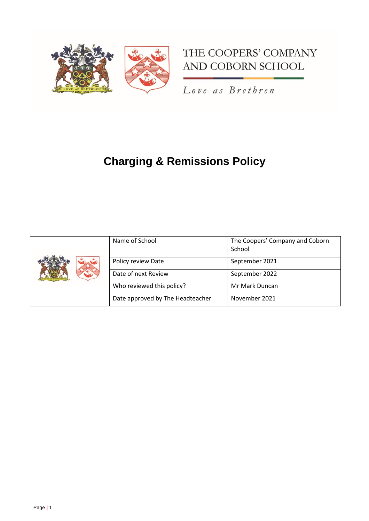

# THE COOPERS' COMPANY AND COBORN SCHOOL

Love as Brethren

# **Charging & Remissions Policy**

|  | Name of School                   | The Coopers' Company and Coborn<br>School |
|--|----------------------------------|-------------------------------------------|
|  | Policy review Date               | September 2021                            |
|  | Date of next Review              | September 2022                            |
|  | Who reviewed this policy?        | Mr Mark Duncan                            |
|  | Date approved by The Headteacher | November 2021                             |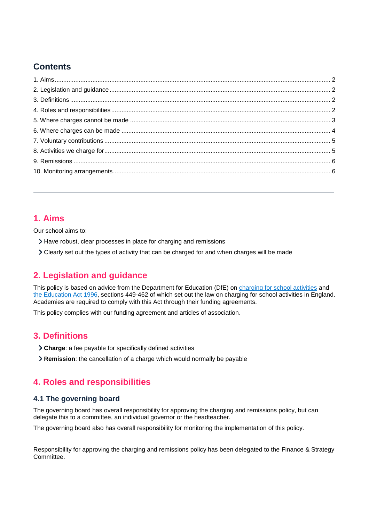# **Contents**

# <span id="page-1-0"></span>**1. Aims**

Our school aims to:

- Have robust, clear processes in place for charging and remissions
- Clearly set out the types of activity that can be charged for and when charges will be made

# <span id="page-1-1"></span>**2. Legislation and guidance**

This policy is based on advice from the Department for Education (DfE) on [charging for school activities](https://www.gov.uk/government/publications/charging-for-school-activities) and [the Education Act 1996,](http://www.legislation.gov.uk/ukpga/1996/56/part/VI/chapter/III) sections 449-462 of which set out the law on charging for school activities in England. Academies are required to comply with this Act through their funding agreements.

This policy complies with our funding agreement and articles of association.

# <span id="page-1-2"></span>**3. Definitions**

- **Charge**: a fee payable for specifically defined activities
- **Remission**: the cancellation of a charge which would normally be payable

# <span id="page-1-3"></span>**4. Roles and responsibilities**

### **4.1 The governing board**

The governing board has overall responsibility for approving the charging and remissions policy, but can delegate this to a committee, an individual governor or the headteacher.

The governing board also has overall responsibility for monitoring the implementation of this policy.

Responsibility for approving the charging and remissions policy has been delegated to the Finance & Strategy Committee.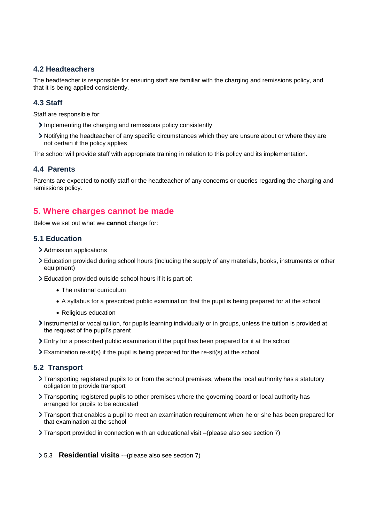## **4.2 Headteachers**

The headteacher is responsible for ensuring staff are familiar with the charging and remissions policy, and that it is being applied consistently.

### **4.3 Staff**

Staff are responsible for:

- Implementing the charging and remissions policy consistently
- Notifying the headteacher of any specific circumstances which they are unsure about or where they are not certain if the policy applies

The school will provide staff with appropriate training in relation to this policy and its implementation.

### **4.4 Parents**

Parents are expected to notify staff or the headteacher of any concerns or queries regarding the charging and remissions policy.

## <span id="page-2-0"></span>**5. Where charges cannot be made**

Below we set out what we **cannot** charge for:

### **5.1 Education**

- > Admission applications
- Education provided during school hours (including the supply of any materials, books, instruments or other equipment)
- Education provided outside school hours if it is part of:
	- The national curriculum
	- A syllabus for a prescribed public examination that the pupil is being prepared for at the school
	- Religious education
- Instrumental or vocal tuition, for pupils learning individually or in groups, unless the tuition is provided at the request of the pupil's parent
- Entry for a prescribed public examination if the pupil has been prepared for it at the school
- Examination re-sit(s) if the pupil is being prepared for the re-sit(s) at the school

### **5.2 Transport**

- Transporting registered pupils to or from the school premises, where the local authority has a statutory obligation to provide transport
- Transporting registered pupils to other premises where the governing board or local authority has arranged for pupils to be educated
- Transport that enables a pupil to meet an examination requirement when he or she has been prepared for that examination at the school
- Transport provided in connection with an educational visit –(please also see section 7)

#### 5.3 **Residential visits** -–(please also see section 7)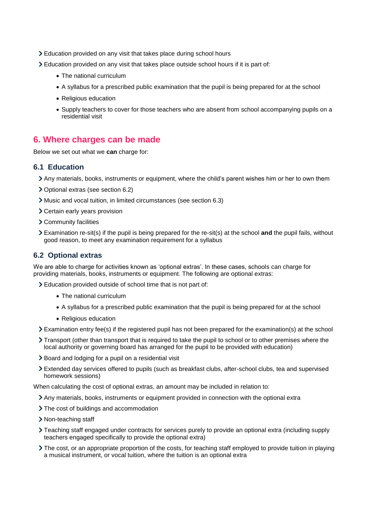- Education provided on any visit that takes place during school hours
- Education provided on any visit that takes place outside school hours if it is part of:
	- The national curriculum
	- A syllabus for a prescribed public examination that the pupil is being prepared for at the school
	- Religious education
	- Supply teachers to cover for those teachers who are absent from school accompanying pupils on a residential visit

# <span id="page-3-0"></span>**6. Where charges can be made**

Below we set out what we **can** charge for:

#### **6.1 Education**

- Any materials, books, instruments or equipment, where the child's parent wishes him or her to own them
- Optional extras (see section 6.2)
- Music and vocal tuition, in limited circumstances (see section 6.3)
- Certain early years provision
- Community facilities
- Examination re-sit(s) if the pupil is being prepared for the re-sit(s) at the school **and** the pupil fails, without good reason, to meet any examination requirement for a syllabus

### **6.2 Optional extras**

We are able to charge for activities known as 'optional extras'. In these cases, schools can charge for providing materials, books, instruments or equipment. The following are optional extras:

Education provided outside of school time that is not part of:

- The national curriculum
- A syllabus for a prescribed public examination that the pupil is being prepared for at the school
- Religious education
- Examination entry fee(s) if the registered pupil has not been prepared for the examination(s) at the school
- Transport (other than transport that is required to take the pupil to school or to other premises where the local authority or governing board has arranged for the pupil to be provided with education)
- Board and lodging for a pupil on a residential visit
- Extended day services offered to pupils (such as breakfast clubs, after-school clubs, tea and supervised homework sessions)

When calculating the cost of optional extras, an amount may be included in relation to:

- Any materials, books, instruments or equipment provided in connection with the optional extra
- > The cost of buildings and accommodation
- > Non-teaching staff
- Teaching staff engaged under contracts for services purely to provide an optional extra (including supply teachers engaged specifically to provide the optional extra)
- The cost, or an appropriate proportion of the costs, for teaching staff employed to provide tuition in playing a musical instrument, or vocal tuition, where the tuition is an optional extra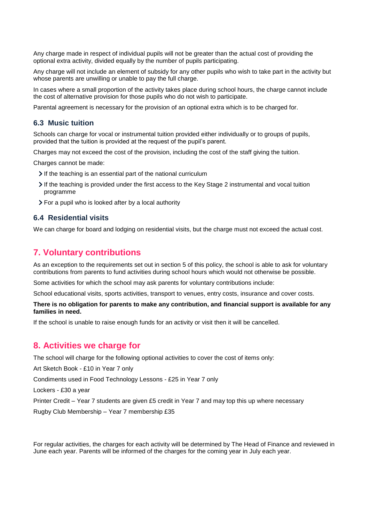Any charge made in respect of individual pupils will not be greater than the actual cost of providing the optional extra activity, divided equally by the number of pupils participating.

Any charge will not include an element of subsidy for any other pupils who wish to take part in the activity but whose parents are unwilling or unable to pay the full charge.

In cases where a small proportion of the activity takes place during school hours, the charge cannot include the cost of alternative provision for those pupils who do not wish to participate.

Parental agreement is necessary for the provision of an optional extra which is to be charged for.

#### **6.3 Music tuition**

Schools can charge for vocal or instrumental tuition provided either individually or to groups of pupils, provided that the tuition is provided at the request of the pupil's parent.

Charges may not exceed the cost of the provision, including the cost of the staff giving the tuition.

Charges cannot be made:

- If the teaching is an essential part of the national curriculum
- If the teaching is provided under the first access to the Key Stage 2 instrumental and vocal tuition programme
- For a pupil who is looked after by a local authority

#### **6.4 Residential visits**

We can charge for board and lodging on residential visits, but the charge must not exceed the actual cost.

### <span id="page-4-0"></span>**7. Voluntary contributions**

As an exception to the requirements set out in section 5 of this policy, the school is able to ask for voluntary contributions from parents to fund activities during school hours which would not otherwise be possible.

Some activities for which the school may ask parents for voluntary contributions include:

School educational visits, sports activities, transport to venues, entry costs, insurance and cover costs.

#### **There is no obligation for parents to make any contribution, and financial support is available for any families in need.**

If the school is unable to raise enough funds for an activity or visit then it will be cancelled.

### <span id="page-4-1"></span>**8. Activities we charge for**

The school will charge for the following optional activities to cover the cost of items only:

Art Sketch Book - £10 in Year 7 only

Condiments used in Food Technology Lessons - £25 in Year 7 only

Lockers - £30 a year

Printer Credit – Year 7 students are given £5 credit in Year 7 and may top this up where necessary

Rugby Club Membership – Year 7 membership £35

For regular activities, the charges for each activity will be determined by The Head of Finance and reviewed in June each year. Parents will be informed of the charges for the coming year in July each year.